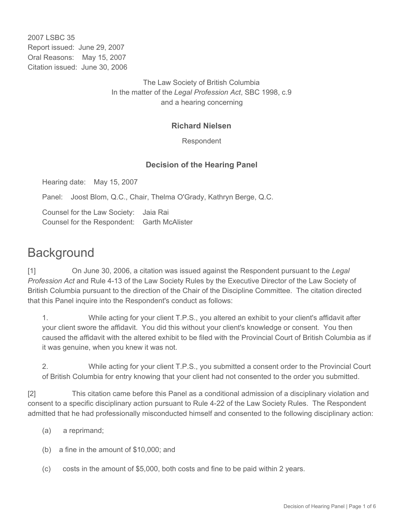2007 LSBC 35 Report issued: June 29, 2007 Oral Reasons: May 15, 2007 Citation issued: June 30, 2006

> The Law Society of British Columbia In the matter of the *Legal Profession Act*, SBC 1998, c.9 and a hearing concerning

## **Richard Nielsen**

Respondent

## **Decision of the Hearing Panel**

Hearing date: May 15, 2007

Panel: Joost Blom, Q.C., Chair, Thelma O'Grady, Kathryn Berge, Q.C.

Counsel for the Law Society: Jaia Rai Counsel for the Respondent: Garth McAlister

## **Background**

[1] On June 30, 2006, a citation was issued against the Respondent pursuant to the *Legal Profession Act* and Rule 4-13 of the Law Society Rules by the Executive Director of the Law Society of British Columbia pursuant to the direction of the Chair of the Discipline Committee. The citation directed that this Panel inquire into the Respondent's conduct as follows:

1. While acting for your client T.P.S., you altered an exhibit to your client's affidavit after your client swore the affidavit. You did this without your client's knowledge or consent. You then caused the affidavit with the altered exhibit to be filed with the Provincial Court of British Columbia as if it was genuine, when you knew it was not.

2. While acting for your client T.P.S., you submitted a consent order to the Provincial Court of British Columbia for entry knowing that your client had not consented to the order you submitted.

[2] This citation came before this Panel as a conditional admission of a disciplinary violation and consent to a specific disciplinary action pursuant to Rule 4-22 of the Law Society Rules. The Respondent admitted that he had professionally misconducted himself and consented to the following disciplinary action:

- (a) a reprimand;
- (b) a fine in the amount of \$10,000; and
- (c) costs in the amount of \$5,000, both costs and fine to be paid within 2 years.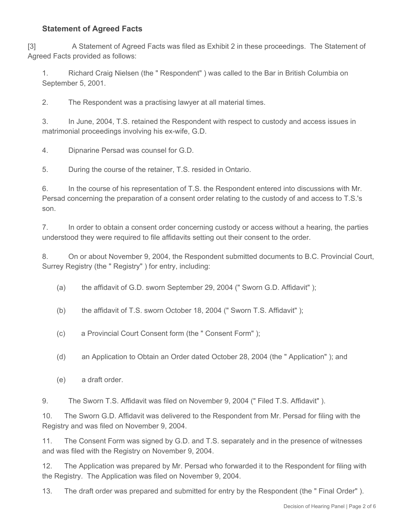## **Statement of Agreed Facts**

[3] A Statement of Agreed Facts was filed as Exhibit 2 in these proceedings. The Statement of Agreed Facts provided as follows:

1. Richard Craig Nielsen (the " Respondent" ) was called to the Bar in British Columbia on September 5, 2001.

2. The Respondent was a practising lawyer at all material times.

3. In June, 2004, T.S. retained the Respondent with respect to custody and access issues in matrimonial proceedings involving his ex-wife, G.D.

4. Dipnarine Persad was counsel for G.D.

5. During the course of the retainer, T.S. resided in Ontario.

6. In the course of his representation of T.S. the Respondent entered into discussions with Mr. Persad concerning the preparation of a consent order relating to the custody of and access to T.S.'s son.

7. In order to obtain a consent order concerning custody or access without a hearing, the parties understood they were required to file affidavits setting out their consent to the order.

8. On or about November 9, 2004, the Respondent submitted documents to B.C. Provincial Court, Surrey Registry (the " Registry" ) for entry, including:

(a) the affidavit of G.D. sworn September 29, 2004 (" Sworn G.D. Affidavit" );

(b) the affidavit of T.S. sworn October 18, 2004 (" Sworn T.S. Affidavit" );

(c) a Provincial Court Consent form (the " Consent Form" );

(d) an Application to Obtain an Order dated October 28, 2004 (the " Application" ); and

(e) a draft order.

9. The Sworn T.S. Affidavit was filed on November 9, 2004 (" Filed T.S. Affidavit" ).

10. The Sworn G.D. Affidavit was delivered to the Respondent from Mr. Persad for filing with the Registry and was filed on November 9, 2004.

11. The Consent Form was signed by G.D. and T.S. separately and in the presence of witnesses and was filed with the Registry on November 9, 2004.

12. The Application was prepared by Mr. Persad who forwarded it to the Respondent for filing with the Registry. The Application was filed on November 9, 2004.

13. The draft order was prepared and submitted for entry by the Respondent (the " Final Order" ).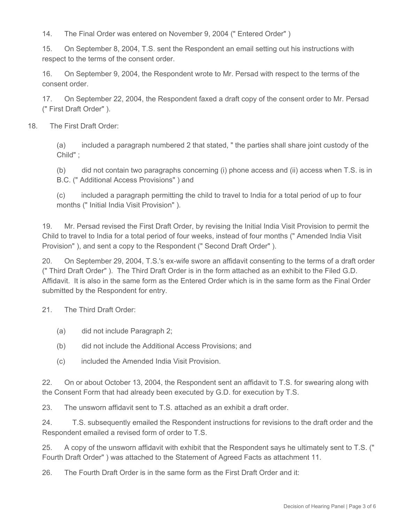14. The Final Order was entered on November 9, 2004 (" Entered Order" )

15. On September 8, 2004, T.S. sent the Respondent an email setting out his instructions with respect to the terms of the consent order.

16. On September 9, 2004, the Respondent wrote to Mr. Persad with respect to the terms of the consent order.

17. On September 22, 2004, the Respondent faxed a draft copy of the consent order to Mr. Persad (" First Draft Order" ).

18. The First Draft Order:

(a) included a paragraph numbered 2 that stated, " the parties shall share joint custody of the Child" ;

(b) did not contain two paragraphs concerning (i) phone access and (ii) access when T.S. is in B.C. (" Additional Access Provisions" ) and

(c) included a paragraph permitting the child to travel to India for a total period of up to four months (" Initial India Visit Provision" ).

19. Mr. Persad revised the First Draft Order, by revising the Initial India Visit Provision to permit the Child to travel to India for a total period of four weeks, instead of four months (" Amended India Visit Provision" ), and sent a copy to the Respondent (" Second Draft Order" ).

20. On September 29, 2004, T.S.'s ex-wife swore an affidavit consenting to the terms of a draft order (" Third Draft Order" ). The Third Draft Order is in the form attached as an exhibit to the Filed G.D. Affidavit. It is also in the same form as the Entered Order which is in the same form as the Final Order submitted by the Respondent for entry.

21. The Third Draft Order:

- (a) did not include Paragraph 2;
- (b) did not include the Additional Access Provisions; and
- (c) included the Amended India Visit Provision.

22. On or about October 13, 2004, the Respondent sent an affidavit to T.S. for swearing along with the Consent Form that had already been executed by G.D. for execution by T.S.

23. The unsworn affidavit sent to T.S. attached as an exhibit a draft order.

24. T.S. subsequently emailed the Respondent instructions for revisions to the draft order and the Respondent emailed a revised form of order to T.S.

25. A copy of the unsworn affidavit with exhibit that the Respondent says he ultimately sent to T.S. (" Fourth Draft Order" ) was attached to the Statement of Agreed Facts as attachment 11.

26. The Fourth Draft Order is in the same form as the First Draft Order and it: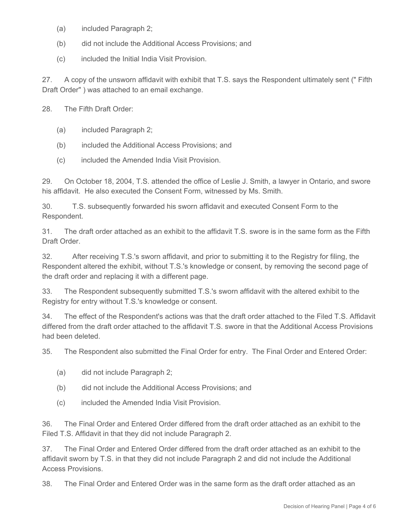- (a) included Paragraph 2;
- (b) did not include the Additional Access Provisions; and
- (c) included the Initial India Visit Provision.

27. A copy of the unsworn affidavit with exhibit that T.S. says the Respondent ultimately sent (" Fifth Draft Order" ) was attached to an email exchange.

28. The Fifth Draft Order:

- (a) included Paragraph 2;
- (b) included the Additional Access Provisions; and
- (c) included the Amended India Visit Provision.

29. On October 18, 2004, T.S. attended the office of Leslie J. Smith, a lawyer in Ontario, and swore his affidavit. He also executed the Consent Form, witnessed by Ms. Smith.

30. T.S. subsequently forwarded his sworn affidavit and executed Consent Form to the Respondent.

31. The draft order attached as an exhibit to the affidavit T.S. swore is in the same form as the Fifth Draft Order.

32. After receiving T.S.'s sworn affidavit, and prior to submitting it to the Registry for filing, the Respondent altered the exhibit, without T.S.'s knowledge or consent, by removing the second page of the draft order and replacing it with a different page.

33. The Respondent subsequently submitted T.S.'s sworn affidavit with the altered exhibit to the Registry for entry without T.S.'s knowledge or consent.

34. The effect of the Respondent's actions was that the draft order attached to the Filed T.S. Affidavit differed from the draft order attached to the affidavit T.S. swore in that the Additional Access Provisions had been deleted.

35. The Respondent also submitted the Final Order for entry. The Final Order and Entered Order:

- (a) did not include Paragraph 2;
- (b) did not include the Additional Access Provisions; and
- (c) included the Amended India Visit Provision.

36. The Final Order and Entered Order differed from the draft order attached as an exhibit to the Filed T.S. Affidavit in that they did not include Paragraph 2.

37. The Final Order and Entered Order differed from the draft order attached as an exhibit to the affidavit sworn by T.S. in that they did not include Paragraph 2 and did not include the Additional Access Provisions.

38. The Final Order and Entered Order was in the same form as the draft order attached as an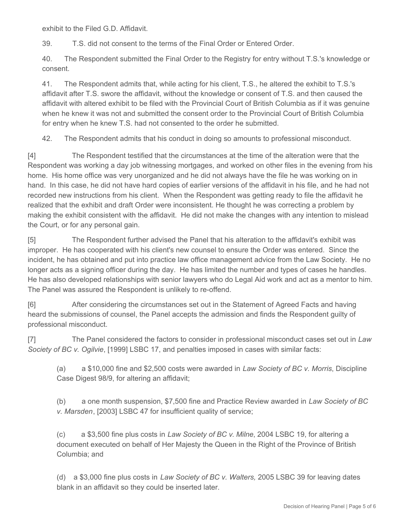exhibit to the Filed G.D. Affidavit.

39. T.S. did not consent to the terms of the Final Order or Entered Order.

40. The Respondent submitted the Final Order to the Registry for entry without T.S.'s knowledge or consent.

41. The Respondent admits that, while acting for his client, T.S., he altered the exhibit to T.S.'s affidavit after T.S. swore the affidavit, without the knowledge or consent of T.S. and then caused the affidavit with altered exhibit to be filed with the Provincial Court of British Columbia as if it was genuine when he knew it was not and submitted the consent order to the Provincial Court of British Columbia for entry when he knew T.S. had not consented to the order he submitted.

42. The Respondent admits that his conduct in doing so amounts to professional misconduct.

[4] The Respondent testified that the circumstances at the time of the alteration were that the Respondent was working a day job witnessing mortgages, and worked on other files in the evening from his home. His home office was very unorganized and he did not always have the file he was working on in hand. In this case, he did not have hard copies of earlier versions of the affidavit in his file, and he had not recorded new instructions from his client. When the Respondent was getting ready to file the affidavit he realized that the exhibit and draft Order were inconsistent. He thought he was correcting a problem by making the exhibit consistent with the affidavit. He did not make the changes with any intention to mislead the Court, or for any personal gain.

[5] The Respondent further advised the Panel that his alteration to the affidavit's exhibit was improper. He has cooperated with his client's new counsel to ensure the Order was entered. Since the incident, he has obtained and put into practice law office management advice from the Law Society. He no longer acts as a signing officer during the day. He has limited the number and types of cases he handles. He has also developed relationships with senior lawyers who do Legal Aid work and act as a mentor to him. The Panel was assured the Respondent is unlikely to re-offend.

[6] After considering the circumstances set out in the Statement of Agreed Facts and having heard the submissions of counsel, the Panel accepts the admission and finds the Respondent guilty of professional misconduct.

[7] The Panel considered the factors to consider in professional misconduct cases set out in *Law Society of BC v. Ogilvie*, [1999] LSBC 17, and penalties imposed in cases with similar facts:

(a) a \$10,000 fine and \$2,500 costs were awarded in *Law Society of BC v. Morris*, Discipline Case Digest 98/9, for altering an affidavit;

(b) a one month suspension, \$7,500 fine and Practice Review awarded in *Law Society of BC v. Marsden*, [2003] LSBC 47 for insufficient quality of service;

(c) a \$3,500 fine plus costs in *Law Society of BC v*. *Milne*, 2004 LSBC 19, for altering a document executed on behalf of Her Majesty the Queen in the Right of the Province of British Columbia; and

(d) a \$3,000 fine plus costs in *Law Society of BC v. Walters,* 2005 LSBC 39 for leaving dates blank in an affidavit so they could be inserted later.